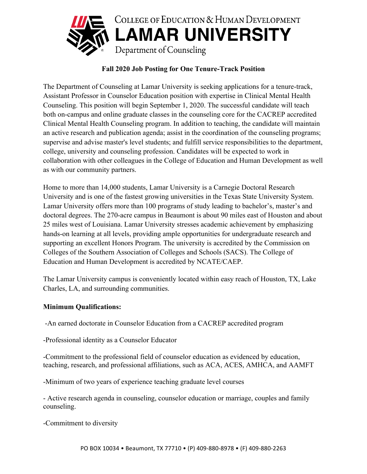

## **Fall 2020 Job Posting for One Tenure-Track Position**

The Department of Counseling at Lamar University is seeking applications for a tenure-track, Assistant Professor in Counselor Education position with expertise in Clinical Mental Health Counseling. This position will begin September 1, 2020. The successful candidate will teach both on-campus and online graduate classes in the counseling core for the CACREP accredited Clinical Mental Health Counseling program. In addition to teaching, the candidate will maintain an active research and publication agenda; assist in the coordination of the counseling programs; supervise and advise master's level students; and fulfill service responsibilities to the department, college, university and counseling profession. Candidates will be expected to work in collaboration with other colleagues in the College of Education and Human Development as well as with our community partners.

Home to more than 14,000 students, Lamar University is a Carnegie Doctoral Research University and is one of the fastest growing universities in the Texas State University System. Lamar University offers more than 100 programs of study leading to bachelor's, master's and doctoral degrees. The 270-acre campus in Beaumont is about 90 miles east of Houston and about 25 miles west of Louisiana. Lamar University stresses academic achievement by emphasizing hands-on learning at all levels, providing ample opportunities for undergraduate research and supporting an excellent Honors Program. The university is accredited by the Commission on Colleges of the Southern Association of Colleges and Schools (SACS). The College of Education and Human Development is accredited by NCATE/CAEP.

The Lamar University campus is conveniently located within easy reach of Houston, TX, Lake Charles, LA, and surrounding communities.

## **Minimum Qualifications:**

-An earned doctorate in Counselor Education from a CACREP accredited program

-Professional identity as a Counselor Educator

-Commitment to the professional field of counselor education as evidenced by education, teaching, research, and professional affiliations, such as ACA, ACES, AMHCA, and AAMFT

-Minimum of two years of experience teaching graduate level courses

- Active research agenda in counseling, counselor education or marriage, couples and family counseling.

-Commitment to diversity